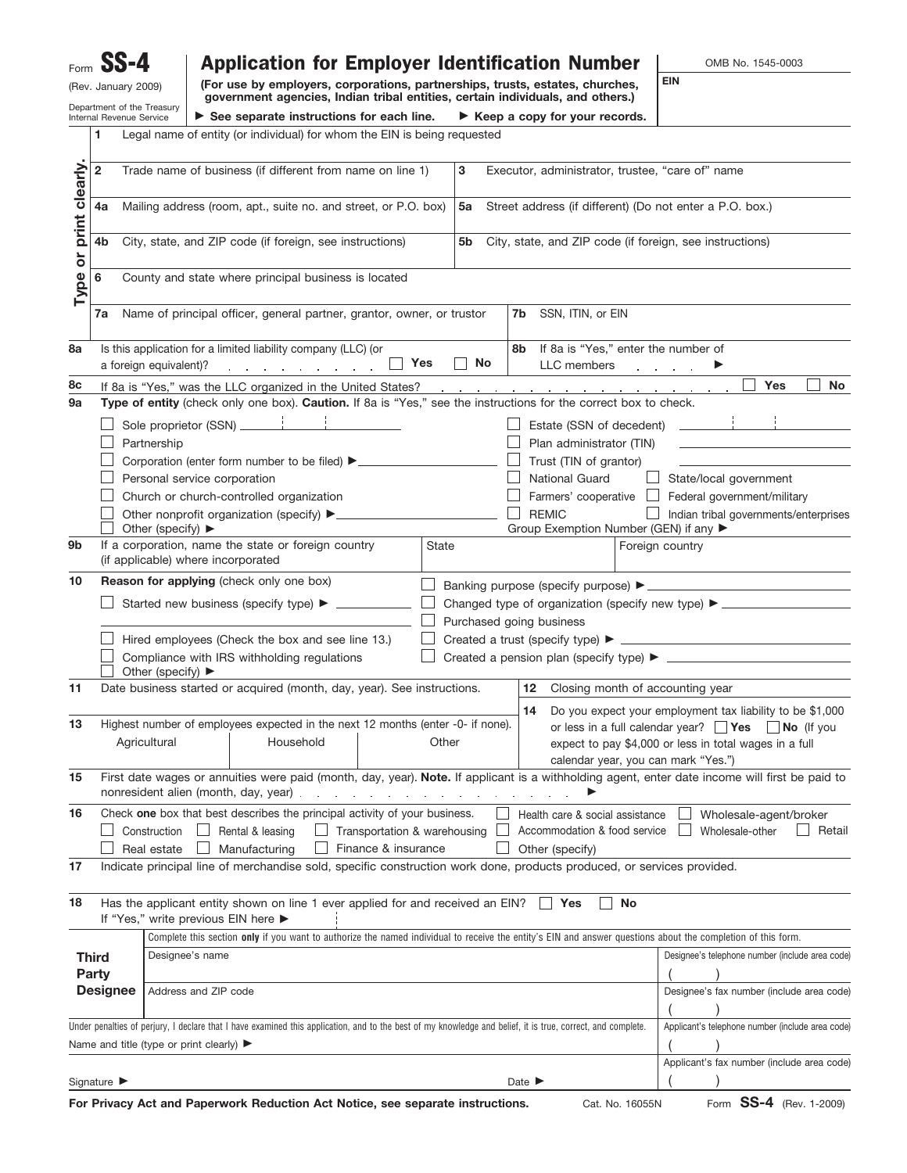| $SS-4$<br>Form                                                                                                                                                                                                  |                                                                                                                                                                                                    |                                                                                                                                                                                                                         | <b>Application for Employer Identification Number</b>                                                                                                 |                                                                                                                                                                 |                                                      |           |  |    |                                                                                 |       |  |                                           | OMB No. 1545-0003 |                            |                                                                                                                                                |  |                 |  |                                                                                                                         |  |                             |  |                                            |
|-----------------------------------------------------------------------------------------------------------------------------------------------------------------------------------------------------------------|----------------------------------------------------------------------------------------------------------------------------------------------------------------------------------------------------|-------------------------------------------------------------------------------------------------------------------------------------------------------------------------------------------------------------------------|-------------------------------------------------------------------------------------------------------------------------------------------------------|-----------------------------------------------------------------------------------------------------------------------------------------------------------------|------------------------------------------------------|-----------|--|----|---------------------------------------------------------------------------------|-------|--|-------------------------------------------|-------------------|----------------------------|------------------------------------------------------------------------------------------------------------------------------------------------|--|-----------------|--|-------------------------------------------------------------------------------------------------------------------------|--|-----------------------------|--|--------------------------------------------|
| (Rev. January 2009)                                                                                                                                                                                             |                                                                                                                                                                                                    |                                                                                                                                                                                                                         |                                                                                                                                                       | (For use by employers, corporations, partnerships, trusts, estates, churches,<br>government agencies, Indian tribal entities, certain individuals, and others.) |                                                      |           |  |    |                                                                                 |       |  |                                           | <b>EIN</b>        |                            |                                                                                                                                                |  |                 |  |                                                                                                                         |  |                             |  |                                            |
|                                                                                                                                                                                                                 |                                                                                                                                                                                                    | Department of the Treasury<br>Internal Revenue Service                                                                                                                                                                  |                                                                                                                                                       |                                                                                                                                                                 |                                                      |           |  |    | $\triangleright$ See separate instructions for each line.                       |       |  |                                           |                   |                            | $\blacktriangleright$ Keep a copy for your records.                                                                                            |  |                 |  |                                                                                                                         |  |                             |  |                                            |
| Legal name of entity (or individual) for whom the EIN is being requested<br>1                                                                                                                                   |                                                                                                                                                                                                    |                                                                                                                                                                                                                         |                                                                                                                                                       |                                                                                                                                                                 |                                                      |           |  |    |                                                                                 |       |  |                                           |                   |                            |                                                                                                                                                |  |                 |  |                                                                                                                         |  |                             |  |                                            |
|                                                                                                                                                                                                                 | $\overline{\mathbf{2}}$                                                                                                                                                                            | Trade name of business (if different from name on line 1)                                                                                                                                                               |                                                                                                                                                       |                                                                                                                                                                 |                                                      |           |  | 3  | Executor, administrator, trustee, "care of" name                                |       |  |                                           |                   |                            |                                                                                                                                                |  |                 |  |                                                                                                                         |  |                             |  |                                            |
| print clearly.                                                                                                                                                                                                  | Mailing address (room, apt., suite no. and street, or P.O. box)<br>4a                                                                                                                              |                                                                                                                                                                                                                         |                                                                                                                                                       |                                                                                                                                                                 |                                                      |           |  | 5a | Street address (if different) (Do not enter a P.O. box.)                        |       |  |                                           |                   |                            |                                                                                                                                                |  |                 |  |                                                                                                                         |  |                             |  |                                            |
|                                                                                                                                                                                                                 | City, state, and ZIP code (if foreign, see instructions)<br>4b                                                                                                                                     |                                                                                                                                                                                                                         |                                                                                                                                                       |                                                                                                                                                                 |                                                      |           |  | 5b | City, state, and ZIP code (if foreign, see instructions)                        |       |  |                                           |                   |                            |                                                                                                                                                |  |                 |  |                                                                                                                         |  |                             |  |                                            |
| Type or                                                                                                                                                                                                         | 6                                                                                                                                                                                                  |                                                                                                                                                                                                                         |                                                                                                                                                       |                                                                                                                                                                 | County and state where principal business is located |           |  |    |                                                                                 |       |  |                                           |                   |                            |                                                                                                                                                |  |                 |  |                                                                                                                         |  |                             |  |                                            |
|                                                                                                                                                                                                                 | 7a                                                                                                                                                                                                 |                                                                                                                                                                                                                         |                                                                                                                                                       |                                                                                                                                                                 |                                                      |           |  |    | Name of principal officer, general partner, grantor, owner, or trustor          |       |  |                                           |                   |                            | 7b SSN, ITIN, or EIN                                                                                                                           |  |                 |  |                                                                                                                         |  |                             |  |                                            |
| 8a                                                                                                                                                                                                              |                                                                                                                                                                                                    | Is this application for a limited liability company (LLC) (or<br>If 8a is "Yes," enter the number of<br>8b<br>$\vert$ Yes<br>No<br>LLC members<br>a foreign equivalent)?<br>and a strong contract of the                |                                                                                                                                                       |                                                                                                                                                                 |                                                      |           |  |    |                                                                                 |       |  |                                           |                   |                            |                                                                                                                                                |  |                 |  |                                                                                                                         |  |                             |  |                                            |
| 8c                                                                                                                                                                                                              | Yes<br><b>No</b><br>If 8a is "Yes," was the LLC organized in the United States?<br>the contract of the contract of the contract of the contract of the contract of the contract of the contract of |                                                                                                                                                                                                                         |                                                                                                                                                       |                                                                                                                                                                 |                                                      |           |  |    |                                                                                 |       |  |                                           |                   |                            |                                                                                                                                                |  |                 |  |                                                                                                                         |  |                             |  |                                            |
| 9a                                                                                                                                                                                                              |                                                                                                                                                                                                    | Type of entity (check only one box). Caution. If 8a is "Yes," see the instructions for the correct box to check.                                                                                                        |                                                                                                                                                       |                                                                                                                                                                 |                                                      |           |  |    |                                                                                 |       |  |                                           |                   |                            |                                                                                                                                                |  |                 |  |                                                                                                                         |  |                             |  |                                            |
|                                                                                                                                                                                                                 |                                                                                                                                                                                                    |                                                                                                                                                                                                                         |                                                                                                                                                       |                                                                                                                                                                 |                                                      |           |  |    |                                                                                 |       |  |                                           |                   |                            | Estate (SSN of decedent)                                                                                                                       |  |                 |  |                                                                                                                         |  |                             |  |                                            |
|                                                                                                                                                                                                                 |                                                                                                                                                                                                    |                                                                                                                                                                                                                         | Plan administrator (TIN)<br>Partnership<br>Corporation (enter form number to be filed) > __________________________________<br>Trust (TIN of grantor) |                                                                                                                                                                 |                                                      |           |  |    |                                                                                 |       |  |                                           |                   |                            |                                                                                                                                                |  |                 |  |                                                                                                                         |  |                             |  |                                            |
|                                                                                                                                                                                                                 |                                                                                                                                                                                                    |                                                                                                                                                                                                                         |                                                                                                                                                       |                                                                                                                                                                 | Personal service corporation                         |           |  |    |                                                                                 |       |  |                                           |                   |                            | <b>National Guard</b>                                                                                                                          |  |                 |  |                                                                                                                         |  | State/local government      |  |                                            |
|                                                                                                                                                                                                                 |                                                                                                                                                                                                    |                                                                                                                                                                                                                         |                                                                                                                                                       |                                                                                                                                                                 | Church or church-controlled organization             |           |  |    |                                                                                 |       |  |                                           |                   |                            | Farmers' cooperative                                                                                                                           |  |                 |  |                                                                                                                         |  | Federal government/military |  |                                            |
|                                                                                                                                                                                                                 |                                                                                                                                                                                                    |                                                                                                                                                                                                                         |                                                                                                                                                       |                                                                                                                                                                 |                                                      |           |  |    |                                                                                 |       |  |                                           |                   |                            | <b>REMIC</b>                                                                                                                                   |  |                 |  |                                                                                                                         |  |                             |  | Indian tribal governments/enterprises      |
|                                                                                                                                                                                                                 |                                                                                                                                                                                                    |                                                                                                                                                                                                                         | Other (specify) $\blacktriangleright$                                                                                                                 |                                                                                                                                                                 |                                                      |           |  |    |                                                                                 |       |  |                                           |                   |                            | Group Exemption Number (GEN) if any ▶                                                                                                          |  |                 |  |                                                                                                                         |  |                             |  |                                            |
| 9b                                                                                                                                                                                                              |                                                                                                                                                                                                    | If a corporation, name the state or foreign country<br>State<br>Foreign country<br>(if applicable) where incorporated                                                                                                   |                                                                                                                                                       |                                                                                                                                                                 |                                                      |           |  |    |                                                                                 |       |  |                                           |                   |                            |                                                                                                                                                |  |                 |  |                                                                                                                         |  |                             |  |                                            |
| 10                                                                                                                                                                                                              |                                                                                                                                                                                                    | Reason for applying (check only one box)                                                                                                                                                                                |                                                                                                                                                       |                                                                                                                                                                 |                                                      |           |  |    |                                                                                 |       |  |                                           |                   |                            |                                                                                                                                                |  |                 |  |                                                                                                                         |  |                             |  |                                            |
|                                                                                                                                                                                                                 |                                                                                                                                                                                                    |                                                                                                                                                                                                                         |                                                                                                                                                       |                                                                                                                                                                 |                                                      |           |  |    |                                                                                 |       |  |                                           |                   |                            |                                                                                                                                                |  |                 |  |                                                                                                                         |  |                             |  |                                            |
|                                                                                                                                                                                                                 | Purchased going business<br>Hired employees (Check the box and see line 13.)                                                                                                                       |                                                                                                                                                                                                                         |                                                                                                                                                       |                                                                                                                                                                 |                                                      |           |  |    |                                                                                 |       |  |                                           |                   |                            |                                                                                                                                                |  |                 |  |                                                                                                                         |  |                             |  |                                            |
|                                                                                                                                                                                                                 |                                                                                                                                                                                                    |                                                                                                                                                                                                                         |                                                                                                                                                       |                                                                                                                                                                 |                                                      |           |  |    |                                                                                 |       |  |                                           |                   |                            |                                                                                                                                                |  |                 |  |                                                                                                                         |  |                             |  |                                            |
|                                                                                                                                                                                                                 |                                                                                                                                                                                                    |                                                                                                                                                                                                                         |                                                                                                                                                       |                                                                                                                                                                 | Compliance with IRS withholding regulations          |           |  |    |                                                                                 |       |  |                                           |                   |                            |                                                                                                                                                |  |                 |  |                                                                                                                         |  |                             |  |                                            |
| 11                                                                                                                                                                                                              |                                                                                                                                                                                                    | Other (specify) $\blacktriangleright$<br>Date business started or acquired (month, day, year). See instructions.<br>12 Closing month of accounting year<br>14 Do you expect your employment tax liability to be \$1,000 |                                                                                                                                                       |                                                                                                                                                                 |                                                      |           |  |    |                                                                                 |       |  |                                           |                   |                            |                                                                                                                                                |  |                 |  |                                                                                                                         |  |                             |  |                                            |
| 13                                                                                                                                                                                                              |                                                                                                                                                                                                    |                                                                                                                                                                                                                         |                                                                                                                                                       |                                                                                                                                                                 |                                                      |           |  |    | Highest number of employees expected in the next 12 months (enter -0- if none). |       |  |                                           |                   |                            |                                                                                                                                                |  |                 |  |                                                                                                                         |  |                             |  |                                            |
|                                                                                                                                                                                                                 |                                                                                                                                                                                                    | Agricultural                                                                                                                                                                                                            |                                                                                                                                                       |                                                                                                                                                                 |                                                      | Household |  |    |                                                                                 | Other |  |                                           |                   |                            |                                                                                                                                                |  |                 |  | or less in a full calendar year? $\Box$ Yes $\Box$ No (If you<br>expect to pay \$4,000 or less in total wages in a full |  |                             |  |                                            |
|                                                                                                                                                                                                                 |                                                                                                                                                                                                    |                                                                                                                                                                                                                         |                                                                                                                                                       |                                                                                                                                                                 |                                                      |           |  |    |                                                                                 |       |  |                                           |                   |                            | calendar year, you can mark "Yes.")                                                                                                            |  |                 |  |                                                                                                                         |  |                             |  |                                            |
| 15                                                                                                                                                                                                              |                                                                                                                                                                                                    |                                                                                                                                                                                                                         |                                                                                                                                                       |                                                                                                                                                                 |                                                      |           |  |    | nonresident alien (month, day, year)                                            |       |  |                                           |                   |                            | First date wages or annuities were paid (month, day, year). Note. If applicant is a withholding agent, enter date income will first be paid to |  |                 |  |                                                                                                                         |  |                             |  |                                            |
| 16                                                                                                                                                                                                              |                                                                                                                                                                                                    |                                                                                                                                                                                                                         |                                                                                                                                                       |                                                                                                                                                                 |                                                      |           |  |    | Check one box that best describes the principal activity of your business.      |       |  |                                           |                   |                            | Health care & social assistance                                                                                                                |  |                 |  |                                                                                                                         |  | Wholesale-agent/broker      |  |                                            |
|                                                                                                                                                                                                                 |                                                                                                                                                                                                    | Construction                                                                                                                                                                                                            |                                                                                                                                                       |                                                                                                                                                                 | $\Box$ Rental & leasing                              |           |  |    | $\Box$ Transportation & warehousing                                             |       |  |                                           |                   |                            | Accommodation & food service                                                                                                                   |  |                 |  |                                                                                                                         |  | Wholesale-other             |  | Retail                                     |
| Finance & insurance<br>Real estate<br>Manufacturing<br>Other (specify)<br>Indicate principal line of merchandise sold, specific construction work done, products produced, or services provided.<br>17          |                                                                                                                                                                                                    |                                                                                                                                                                                                                         |                                                                                                                                                       |                                                                                                                                                                 |                                                      |           |  |    |                                                                                 |       |  |                                           |                   |                            |                                                                                                                                                |  |                 |  |                                                                                                                         |  |                             |  |                                            |
| 18<br>Has the applicant entity shown on line 1 ever applied for and received an EIN?<br>No<br>Yes<br>If "Yes," write previous EIN here ▶                                                                        |                                                                                                                                                                                                    |                                                                                                                                                                                                                         |                                                                                                                                                       |                                                                                                                                                                 |                                                      |           |  |    |                                                                                 |       |  |                                           |                   |                            |                                                                                                                                                |  |                 |  |                                                                                                                         |  |                             |  |                                            |
| Complete this section only if you want to authorize the named individual to receive the entity's EIN and answer questions about the completion of this form.                                                    |                                                                                                                                                                                                    |                                                                                                                                                                                                                         |                                                                                                                                                       |                                                                                                                                                                 |                                                      |           |  |    |                                                                                 |       |  |                                           |                   |                            |                                                                                                                                                |  |                 |  |                                                                                                                         |  |                             |  |                                            |
|                                                                                                                                                                                                                 | <b>Third</b><br>Party                                                                                                                                                                              |                                                                                                                                                                                                                         | Designee's name                                                                                                                                       |                                                                                                                                                                 |                                                      |           |  |    |                                                                                 |       |  |                                           |                   |                            | Designee's telephone number (include area code)                                                                                                |  |                 |  |                                                                                                                         |  |                             |  |                                            |
|                                                                                                                                                                                                                 | <b>Designee</b>                                                                                                                                                                                    | Address and ZIP code                                                                                                                                                                                                    |                                                                                                                                                       |                                                                                                                                                                 |                                                      |           |  |    |                                                                                 |       |  | Designee's fax number (include area code) |                   |                            |                                                                                                                                                |  |                 |  |                                                                                                                         |  |                             |  |                                            |
| Under penalties of perjury, I declare that I have examined this application, and to the best of my knowledge and belief, it is true, correct, and complete.<br>Applicant's telephone number (include area code) |                                                                                                                                                                                                    |                                                                                                                                                                                                                         |                                                                                                                                                       |                                                                                                                                                                 |                                                      |           |  |    |                                                                                 |       |  |                                           |                   |                            |                                                                                                                                                |  |                 |  |                                                                                                                         |  |                             |  |                                            |
|                                                                                                                                                                                                                 |                                                                                                                                                                                                    |                                                                                                                                                                                                                         |                                                                                                                                                       | Name and title (type or print clearly) $\blacktriangleright$                                                                                                    |                                                      |           |  |    |                                                                                 |       |  |                                           |                   |                            |                                                                                                                                                |  |                 |  |                                                                                                                         |  |                             |  |                                            |
|                                                                                                                                                                                                                 |                                                                                                                                                                                                    |                                                                                                                                                                                                                         |                                                                                                                                                       |                                                                                                                                                                 |                                                      |           |  |    |                                                                                 |       |  |                                           |                   |                            |                                                                                                                                                |  |                 |  |                                                                                                                         |  |                             |  | Applicant's fax number (include area code) |
|                                                                                                                                                                                                                 | Signature $\blacktriangleright$                                                                                                                                                                    |                                                                                                                                                                                                                         |                                                                                                                                                       |                                                                                                                                                                 |                                                      |           |  |    |                                                                                 |       |  |                                           |                   | Date $\blacktriangleright$ |                                                                                                                                                |  |                 |  |                                                                                                                         |  |                             |  |                                            |
|                                                                                                                                                                                                                 |                                                                                                                                                                                                    |                                                                                                                                                                                                                         |                                                                                                                                                       |                                                                                                                                                                 |                                                      |           |  |    | For Privacy Act and Paperwork Reduction Act Notice, see separate instructions.  |       |  |                                           |                   |                            |                                                                                                                                                |  | Cat. No. 16055N |  |                                                                                                                         |  |                             |  | Form SS-4 (Rev. 1-2009)                    |